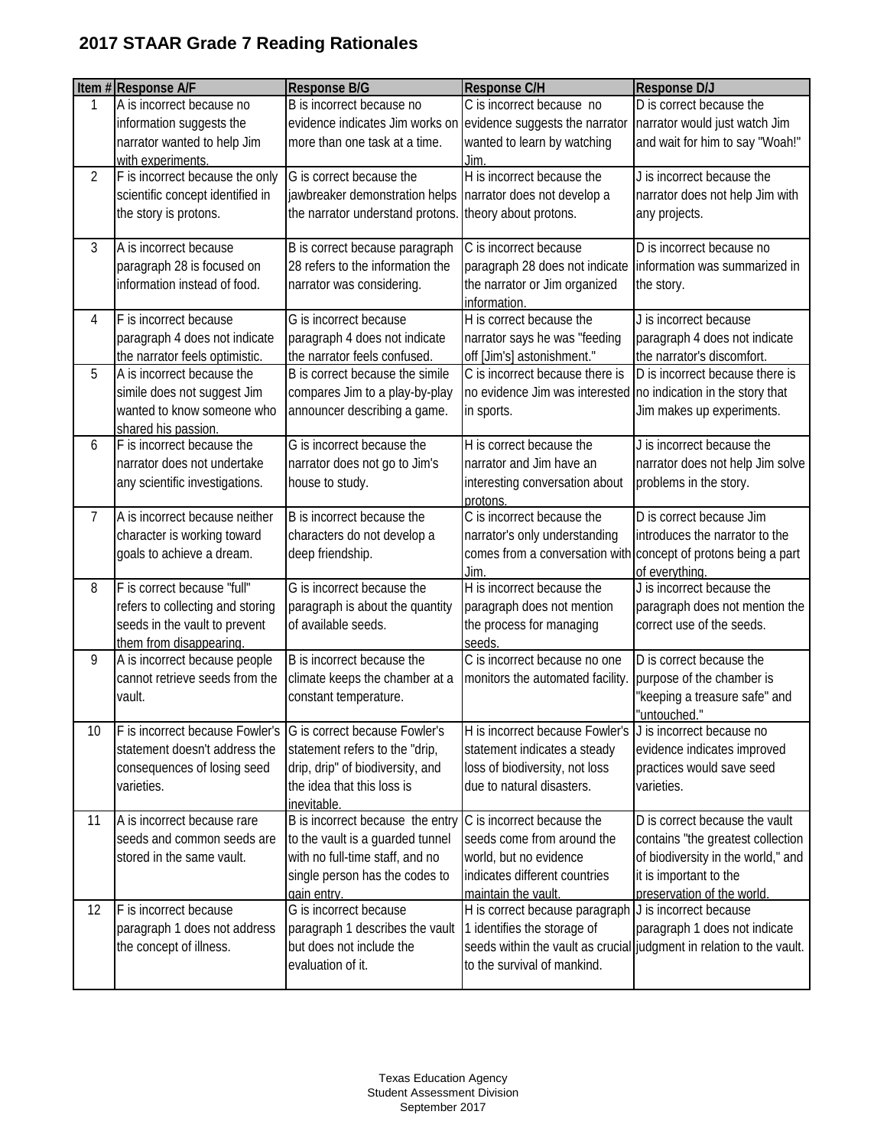|                | Item #Response A/F               | Response B/G                                                   | <b>Response C/H</b>                                                          | Response D/J                                                                     |
|----------------|----------------------------------|----------------------------------------------------------------|------------------------------------------------------------------------------|----------------------------------------------------------------------------------|
| 1              | A is incorrect because no        | B is incorrect because no                                      | C is incorrect because no                                                    | D is correct because the                                                         |
|                | information suggests the         | evidence indicates Jim works on evidence suggests the narrator |                                                                              | narrator would just watch Jim                                                    |
|                | narrator wanted to help Jim      | more than one task at a time.                                  | wanted to learn by watching                                                  | and wait for him to say "Woah!"                                                  |
|                | with experiments.                |                                                                | Jim.                                                                         |                                                                                  |
| $\overline{2}$ | F is incorrect because the only  | G is correct because the                                       | H is incorrect because the                                                   | J is incorrect because the                                                       |
|                | scientific concept identified in | jawbreaker demonstration helps                                 | narrator does not develop a                                                  | narrator does not help Jim with                                                  |
|                | the story is protons.            | the narrator understand protons.                               | theory about protons.                                                        | any projects.                                                                    |
| 3              | A is incorrect because           | B is correct because paragraph                                 | C is incorrect because                                                       | $\overline{D}$ is incorrect because no                                           |
|                | paragraph 28 is focused on       | 28 refers to the information the                               | paragraph 28 does not indicate                                               | information was summarized in                                                    |
|                | information instead of food.     | narrator was considering.                                      | the narrator or Jim organized<br>information.                                | the story.                                                                       |
| 4              | F is incorrect because           | G is incorrect because                                         | H is correct because the                                                     | J is incorrect because                                                           |
|                | paragraph 4 does not indicate    | paragraph 4 does not indicate                                  | narrator says he was "feeding                                                | paragraph 4 does not indicate                                                    |
|                | the narrator feels optimistic.   | the narrator feels confused.                                   | off [Jim's] astonishment."                                                   | the narrator's discomfort.                                                       |
| 5              | A is incorrect because the       | B is correct because the simile                                | C is incorrect because there is                                              | D is incorrect because there is                                                  |
|                | simile does not suggest Jim      | compares Jim to a play-by-play                                 | no evidence Jim was interested no indication in the story that               |                                                                                  |
|                | wanted to know someone who       | announcer describing a game.                                   | in sports.                                                                   | Jim makes up experiments.                                                        |
|                | shared his passion.              |                                                                |                                                                              |                                                                                  |
| 6              | F is incorrect because the       | G is incorrect because the                                     | H is correct because the                                                     | J is incorrect because the                                                       |
|                | narrator does not undertake      | narrator does not go to Jim's                                  | narrator and Jim have an                                                     | narrator does not help Jim solve                                                 |
|                | any scientific investigations.   | house to study.                                                | interesting conversation about                                               | problems in the story.                                                           |
|                | A is incorrect because neither   | B is incorrect because the                                     | protons.<br>C is incorrect because the                                       | D is correct because Jim                                                         |
| 7              |                                  |                                                                |                                                                              |                                                                                  |
|                | character is working toward      | characters do not develop a                                    | narrator's only understanding                                                | introduces the narrator to the                                                   |
|                | goals to achieve a dream.        | deep friendship.                                               | Jim                                                                          | comes from a conversation with concept of protons being a part<br>of everything. |
| 8              | F is correct because "full"      | G is incorrect because the                                     | H is incorrect because the                                                   | J is incorrect because the                                                       |
|                | refers to collecting and storing | paragraph is about the quantity                                | paragraph does not mention                                                   | paragraph does not mention the                                                   |
|                | seeds in the vault to prevent    | of available seeds.                                            | the process for managing                                                     | correct use of the seeds.                                                        |
|                | them from disappearing.          |                                                                | seeds.                                                                       |                                                                                  |
| 9              | A is incorrect because people    | B is incorrect because the                                     | C is incorrect because no one                                                | D is correct because the                                                         |
|                | cannot retrieve seeds from the   | climate keeps the chamber at a                                 | monitors the automated facility.                                             | purpose of the chamber is                                                        |
|                | vault.                           | constant temperature.                                          |                                                                              | "keeping a treasure safe" and                                                    |
|                |                                  |                                                                |                                                                              | "untouched."                                                                     |
| 10             | F is incorrect because Fowler's  | G is correct because Fowler's                                  | H is incorrect because Fowler's J is incorrect because no                    |                                                                                  |
|                | statement doesn't address the    | statement refers to the "drip,                                 | statement indicates a steady                                                 | evidence indicates improved                                                      |
|                | consequences of losing seed      | drip, drip" of biodiversity, and                               | loss of biodiversity, not loss                                               | practices would save seed                                                        |
|                | varieties.                       | the idea that this loss is                                     | due to natural disasters.                                                    | varieties.                                                                       |
|                |                                  | inevitable.                                                    |                                                                              |                                                                                  |
| 11             | A is incorrect because rare      | B is incorrect because the entry                               | C is incorrect because the                                                   | D is correct because the vault                                                   |
|                | seeds and common seeds are       | to the vault is a guarded tunnel                               | seeds come from around the                                                   | contains "the greatest collection                                                |
|                | stored in the same vault.        | with no full-time staff, and no                                | world, but no evidence                                                       | of biodiversity in the world," and                                               |
|                |                                  | single person has the codes to                                 | indicates different countries                                                | it is important to the                                                           |
| 12             | F is incorrect because           | gain entry.<br>G is incorrect because                          | maintain the vault.<br>H is correct because paragraph J is incorrect because | preservation of the world.                                                       |
|                |                                  |                                                                |                                                                              |                                                                                  |
|                | paragraph 1 does not address     | paragraph 1 describes the vault<br>but does not include the    | 1 identifies the storage of                                                  | paragraph 1 does not indicate                                                    |
|                | the concept of illness.          |                                                                | to the survival of mankind.                                                  | seeds within the vault as crucial judgment in relation to the vault.             |
|                |                                  | evaluation of it.                                              |                                                                              |                                                                                  |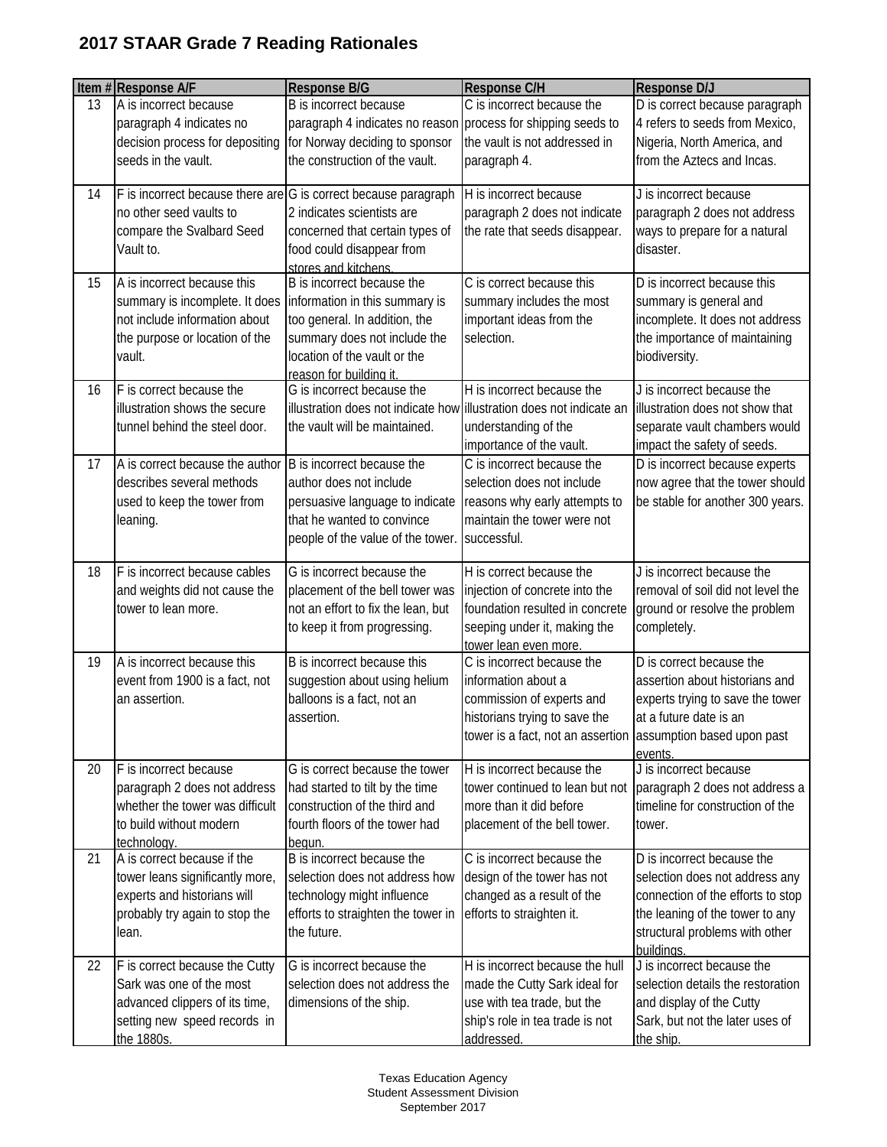|    | Item #Response A/F                                                                                                                         | Response B/G                                                                                                                                                                             | Response C/H                                                                                                                                                                    | Response D/J                                                                                                                                                                         |
|----|--------------------------------------------------------------------------------------------------------------------------------------------|------------------------------------------------------------------------------------------------------------------------------------------------------------------------------------------|---------------------------------------------------------------------------------------------------------------------------------------------------------------------------------|--------------------------------------------------------------------------------------------------------------------------------------------------------------------------------------|
| 13 | A is incorrect because<br>paragraph 4 indicates no<br>decision process for depositing<br>seeds in the vault.                               | B is incorrect because<br>paragraph 4 indicates no reason<br>for Norway deciding to sponsor<br>the construction of the vault.                                                            | C is incorrect because the<br>process for shipping seeds to<br>the vault is not addressed in<br>paragraph 4.                                                                    | D is correct because paragraph<br>4 refers to seeds from Mexico,<br>Nigeria, North America, and<br>from the Aztecs and Incas.                                                        |
| 14 | no other seed vaults to<br>compare the Svalbard Seed<br>Vault to.                                                                          | F is incorrect because there are G is correct because paragraph<br>2 indicates scientists are<br>concerned that certain types of<br>food could disappear from<br>stores and kitchens.    | H is incorrect because<br>paragraph 2 does not indicate<br>the rate that seeds disappear.                                                                                       | J is incorrect because<br>paragraph 2 does not address<br>ways to prepare for a natural<br>disaster.                                                                                 |
| 15 | A is incorrect because this<br>summary is incomplete. It does<br>not include information about<br>the purpose or location of the<br>vault. | B is incorrect because the<br>information in this summary is<br>too general. In addition, the<br>summary does not include the<br>location of the vault or the<br>reason for building it. | C is correct because this<br>summary includes the most<br>important ideas from the<br>selection.                                                                                | D is incorrect because this<br>summary is general and<br>incomplete. It does not address<br>the importance of maintaining<br>biodiversity.                                           |
| 16 | F is correct because the<br>illustration shows the secure<br>tunnel behind the steel door.                                                 | G is incorrect because the<br>illustration does not indicate how illustration does not indicate an<br>the vault will be maintained.                                                      | H is incorrect because the<br>understanding of the<br>importance of the vault.                                                                                                  | J is incorrect because the<br>illustration does not show that<br>separate vault chambers would<br>impact the safety of seeds.                                                        |
| 17 | A is correct because the author<br>describes several methods<br>used to keep the tower from<br>leaning.                                    | B is incorrect because the<br>author does not include<br>persuasive language to indicate<br>that he wanted to convince<br>people of the value of the tower.                              | C is incorrect because the<br>selection does not include<br>reasons why early attempts to<br>maintain the tower were not<br>successful.                                         | D is incorrect because experts<br>now agree that the tower should<br>be stable for another 300 years.                                                                                |
| 18 | F is incorrect because cables<br>and weights did not cause the<br>tower to lean more.                                                      | G is incorrect because the<br>placement of the bell tower was<br>not an effort to fix the lean, but<br>to keep it from progressing.                                                      | H is correct because the<br>injection of concrete into the<br>foundation resulted in concrete<br>seeping under it, making the<br>tower lean even more.                          | J is incorrect because the<br>removal of soil did not level the<br>ground or resolve the problem<br>completely.                                                                      |
| 19 | A is incorrect because this<br>event from 1900 is a fact, not<br>an assertion.                                                             | B is incorrect because this<br>suggestion about using helium<br>balloons is a fact, not an<br>assertion.                                                                                 | C is incorrect because the<br>information about a<br>commission of experts and<br>historians trying to save the<br>tower is a fact, not an assertion assumption based upon past | D is correct because the<br>assertion about historians and<br>experts trying to save the tower<br>at a future date is an<br>events.                                                  |
| 20 | F is incorrect because<br>paragraph 2 does not address<br>whether the tower was difficult<br>to build without modern<br>technology.        | G is correct because the tower<br>had started to tilt by the time<br>construction of the third and<br>fourth floors of the tower had<br>begun.                                           | H is incorrect because the<br>tower continued to lean but not<br>more than it did before<br>placement of the bell tower.                                                        | J is incorrect because<br>paragraph 2 does not address a<br>timeline for construction of the<br>tower.                                                                               |
| 21 | A is correct because if the<br>tower leans significantly more,<br>experts and historians will<br>probably try again to stop the<br>lean.   | B is incorrect because the<br>selection does not address how<br>technology might influence<br>efforts to straighten the tower in<br>the future.                                          | C is incorrect because the<br>design of the tower has not<br>changed as a result of the<br>efforts to straighten it.                                                            | D is incorrect because the<br>selection does not address any<br>connection of the efforts to stop<br>the leaning of the tower to any<br>structural problems with other<br>buildings. |
| 22 | F is correct because the Cutty<br>Sark was one of the most<br>advanced clippers of its time,<br>setting new speed records in<br>the 1880s. | G is incorrect because the<br>selection does not address the<br>dimensions of the ship.                                                                                                  | H is incorrect because the hull<br>made the Cutty Sark ideal for<br>use with tea trade, but the<br>ship's role in tea trade is not<br>addressed.                                | J is incorrect because the<br>selection details the restoration<br>and display of the Cutty<br>Sark, but not the later uses of<br>the ship.                                          |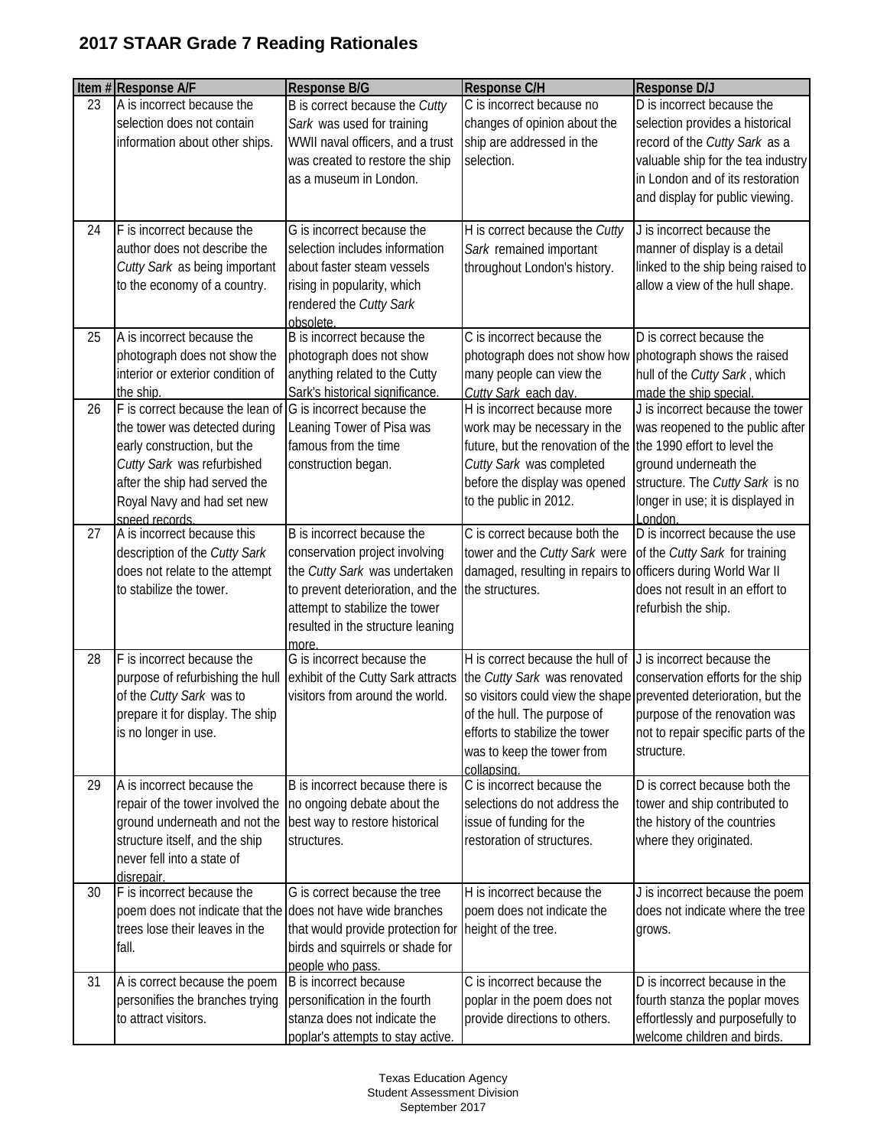|    | Item #Response A/F                                           | <b>Response B/G</b>                                                 | <b>Response C/H</b>                                            | Response D/J                                                        |
|----|--------------------------------------------------------------|---------------------------------------------------------------------|----------------------------------------------------------------|---------------------------------------------------------------------|
| 23 | A is incorrect because the                                   | B is correct because the Cutty                                      | C is incorrect because no                                      | D is incorrect because the                                          |
|    | selection does not contain<br>information about other ships. | Sark was used for training                                          | changes of opinion about the<br>ship are addressed in the      | selection provides a historical                                     |
|    |                                                              | WWII naval officers, and a trust<br>was created to restore the ship | selection.                                                     | record of the Cutty Sark as a<br>valuable ship for the tea industry |
|    |                                                              | as a museum in London.                                              |                                                                | in London and of its restoration                                    |
|    |                                                              |                                                                     |                                                                | and display for public viewing.                                     |
|    |                                                              |                                                                     |                                                                |                                                                     |
| 24 | F is incorrect because the                                   | G is incorrect because the                                          | H is correct because the Cutty                                 | J is incorrect because the                                          |
|    | author does not describe the                                 | selection includes information                                      | Sark remained important                                        | manner of display is a detail                                       |
|    | Cutty Sark as being important                                | about faster steam vessels                                          | throughout London's history.                                   | linked to the ship being raised to                                  |
|    | to the economy of a country.                                 | rising in popularity, which                                         |                                                                | allow a view of the hull shape.                                     |
|    |                                                              | rendered the Cutty Sark<br>obsolete                                 |                                                                |                                                                     |
| 25 | A is incorrect because the                                   | B is incorrect because the                                          | C is incorrect because the                                     | D is correct because the                                            |
|    | photograph does not show the                                 | photograph does not show                                            | photograph does not show how                                   | photograph shows the raised                                         |
|    | interior or exterior condition of                            | anything related to the Cutty                                       | many people can view the                                       | hull of the Cutty Sark, which                                       |
|    | the ship.                                                    | Sark's historical significance                                      | Cutty Sark each day.                                           | made the ship special.                                              |
| 26 | F is correct because the lean of                             | G is incorrect because the                                          | H is incorrect because more                                    | J is incorrect because the tower                                    |
|    | the tower was detected during                                | Leaning Tower of Pisa was                                           | work may be necessary in the                                   | was reopened to the public after                                    |
|    | early construction, but the                                  | famous from the time                                                | future, but the renovation of the the 1990 effort to level the |                                                                     |
|    | Cutty Sark was refurbished                                   | construction began.                                                 | Cutty Sark was completed                                       | ground underneath the                                               |
|    | after the ship had served the                                |                                                                     | before the display was opened                                  | structure. The Cutty Sark is no                                     |
|    | Royal Navy and had set new                                   |                                                                     | to the public in 2012.                                         | longer in use; it is displayed in<br>London                         |
| 27 | speed records.<br>A is incorrect because this                | B is incorrect because the                                          | C is correct because both the                                  | D is incorrect because the use                                      |
|    | description of the Cutty Sark                                | conservation project involving                                      | tower and the Cutty Sark were                                  | of the Cutty Sark for training                                      |
|    | does not relate to the attempt                               | the Cutty Sark was undertaken                                       | damaged, resulting in repairs to officers during World War II  |                                                                     |
|    | to stabilize the tower.                                      | to prevent deterioration, and the                                   | the structures.                                                | does not result in an effort to                                     |
|    |                                                              | attempt to stabilize the tower                                      |                                                                | refurbish the ship.                                                 |
|    |                                                              | resulted in the structure leaning                                   |                                                                |                                                                     |
| 28 | F is incorrect because the                                   | more<br>G is incorrect because the                                  | H is correct because the hull of                               | J is incorrect because the                                          |
|    | purpose of refurbishing the hull                             | exhibit of the Cutty Sark attracts                                  | the Cutty Sark was renovated                                   | conservation efforts for the ship                                   |
|    | of the Cutty Sark was to                                     | visitors from around the world.                                     |                                                                | so visitors could view the shape prevented deterioration, but the   |
|    | prepare it for display. The ship                             |                                                                     | of the hull. The purpose of                                    | purpose of the renovation was                                       |
|    | is no longer in use.                                         |                                                                     | efforts to stabilize the tower                                 | not to repair specific parts of the                                 |
|    |                                                              |                                                                     | was to keep the tower from                                     | structure.                                                          |
|    |                                                              |                                                                     | collapsing                                                     |                                                                     |
| 29 | A is incorrect because the                                   | B is incorrect because there is                                     | C is incorrect because the                                     | D is correct because both the                                       |
|    | repair of the tower involved the                             | no ongoing debate about the                                         | selections do not address the                                  | tower and ship contributed to                                       |
|    | ground underneath and not the                                | best way to restore historical                                      | issue of funding for the                                       | the history of the countries                                        |
|    | structure itself, and the ship<br>never fell into a state of | structures.                                                         | restoration of structures.                                     | where they originated.                                              |
|    | disrepair.                                                   |                                                                     |                                                                |                                                                     |
| 30 | F is incorrect because the                                   | G is correct because the tree                                       | H is incorrect because the                                     | J is incorrect because the poem                                     |
|    | poem does not indicate that the does not have wide branches  |                                                                     | poem does not indicate the                                     | does not indicate where the tree                                    |
|    | trees lose their leaves in the                               | that would provide protection for                                   | height of the tree.                                            | grows.                                                              |
|    | fall.                                                        | birds and squirrels or shade for                                    |                                                                |                                                                     |
|    |                                                              | people who pass.                                                    |                                                                |                                                                     |
| 31 | A is correct because the poem                                | B is incorrect because                                              | C is incorrect because the                                     | D is incorrect because in the                                       |
|    | personifies the branches trying<br>to attract visitors.      | personification in the fourth<br>stanza does not indicate the       | poplar in the poem does not<br>provide directions to others.   | fourth stanza the poplar moves<br>effortlessly and purposefully to  |
|    |                                                              | poplar's attempts to stay active.                                   |                                                                | welcome children and birds.                                         |